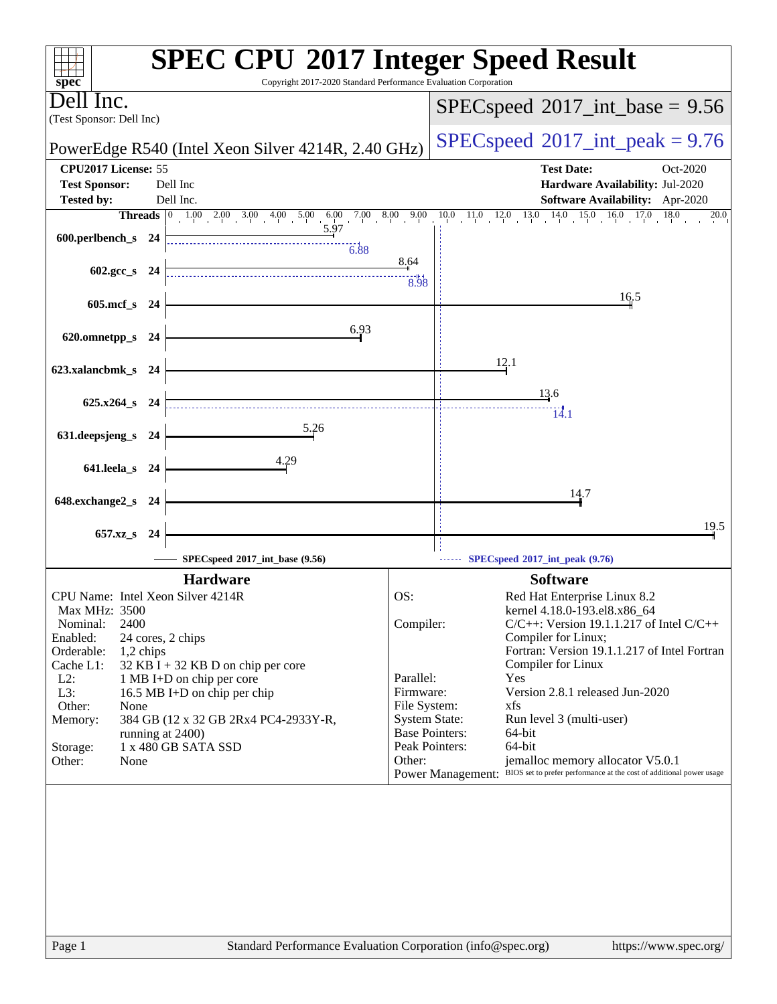| spec <sup>®</sup>                           |      | <b>SPEC CPU®2017 Integer Speed Result</b><br>Copyright 2017-2020 Standard Performance Evaluation Corporation |                                            |                                                                                        |
|---------------------------------------------|------|--------------------------------------------------------------------------------------------------------------|--------------------------------------------|----------------------------------------------------------------------------------------|
| Dell Inc.<br>(Test Sponsor: Dell Inc)       |      |                                                                                                              |                                            | $SPEC speed^{\circ}2017\_int\_base = 9.56$                                             |
|                                             |      | PowerEdge R540 (Intel Xeon Silver 4214R, 2.40 GHz)                                                           | $SPEC speed^{\circ}2017\_int\_peak = 9.76$ |                                                                                        |
| CPU2017 License: 55<br><b>Test Sponsor:</b> |      | Dell Inc                                                                                                     |                                            | <b>Test Date:</b><br>Oct-2020<br>Hardware Availability: Jul-2020                       |
| <b>Tested by:</b>                           |      | Dell Inc.                                                                                                    |                                            | Software Availability: Apr-2020                                                        |
|                                             |      |                                                                                                              |                                            | 18.0<br>$\overline{20.0}$                                                              |
| 600.perlbench_s 24                          |      | $-6.88$                                                                                                      |                                            |                                                                                        |
| 602.gcc_s 24                                |      |                                                                                                              | 8.64<br>8.98                               |                                                                                        |
| 605.mcf_s 24                                |      |                                                                                                              |                                            | 16.5                                                                                   |
| 620.omnetpp_s 24                            |      | 6.93                                                                                                         |                                            |                                                                                        |
| 623.xalancbmk_s 24                          |      |                                                                                                              |                                            | 12.1                                                                                   |
| 625.x264_s 24                               |      |                                                                                                              |                                            | 13.6                                                                                   |
| 631.deepsjeng_s 24                          |      | 5.26                                                                                                         |                                            | $\overline{14.1}$                                                                      |
| 641.leela_s 24                              |      | 4.29                                                                                                         |                                            |                                                                                        |
| 648.exchange2_s                             | - 24 |                                                                                                              |                                            | 14.7                                                                                   |
| 657.xz_s 24                                 |      |                                                                                                              |                                            | 19.5                                                                                   |
|                                             |      | SPECspeed®2017_int_base (9.56)                                                                               |                                            | SPECspeed®2017_int_peak (9.76)                                                         |
|                                             |      | <b>Hardware</b>                                                                                              |                                            | <b>Software</b>                                                                        |
| CPU Name: Intel Xeon Silver 4214R           |      |                                                                                                              | OS:                                        | Red Hat Enterprise Linux 8.2                                                           |
| <b>Max MHz: 3500</b>                        |      |                                                                                                              |                                            | kernel 4.18.0-193.el8.x86_64                                                           |
| 2400<br>Nominal:                            |      |                                                                                                              | Compiler:                                  | $C/C++$ : Version 19.1.1.217 of Intel $C/C++$                                          |
| Enabled:                                    |      | 24 cores, 2 chips                                                                                            |                                            | Compiler for Linux;                                                                    |
| Orderable:<br>1,2 chips<br>Cache L1:        |      | 32 KB I + 32 KB D on chip per core                                                                           |                                            | Fortran: Version 19.1.1.217 of Intel Fortran<br>Compiler for Linux                     |
| $L2$ :                                      |      | 1 MB I+D on chip per core                                                                                    | Parallel:                                  | Yes                                                                                    |
| L3:                                         |      | 16.5 MB I+D on chip per chip                                                                                 | Firmware:                                  | Version 2.8.1 released Jun-2020                                                        |
| Other:<br>None                              |      |                                                                                                              | File System:                               | xfs                                                                                    |
| Memory:                                     |      | 384 GB (12 x 32 GB 2Rx4 PC4-2933Y-R,                                                                         | <b>System State:</b>                       | Run level 3 (multi-user)                                                               |
| Storage:                                    |      | running at 2400)<br>1 x 480 GB SATA SSD                                                                      |                                            | <b>Base Pointers:</b><br>64-bit<br>Peak Pointers:<br>64-bit                            |
| Other:<br>Other:<br>None                    |      |                                                                                                              |                                            | jemalloc memory allocator V5.0.1                                                       |
|                                             |      |                                                                                                              |                                            | Power Management: BIOS set to prefer performance at the cost of additional power usage |
|                                             |      |                                                                                                              |                                            |                                                                                        |
|                                             |      |                                                                                                              |                                            |                                                                                        |
|                                             |      |                                                                                                              |                                            |                                                                                        |
|                                             |      |                                                                                                              |                                            |                                                                                        |
|                                             |      |                                                                                                              |                                            |                                                                                        |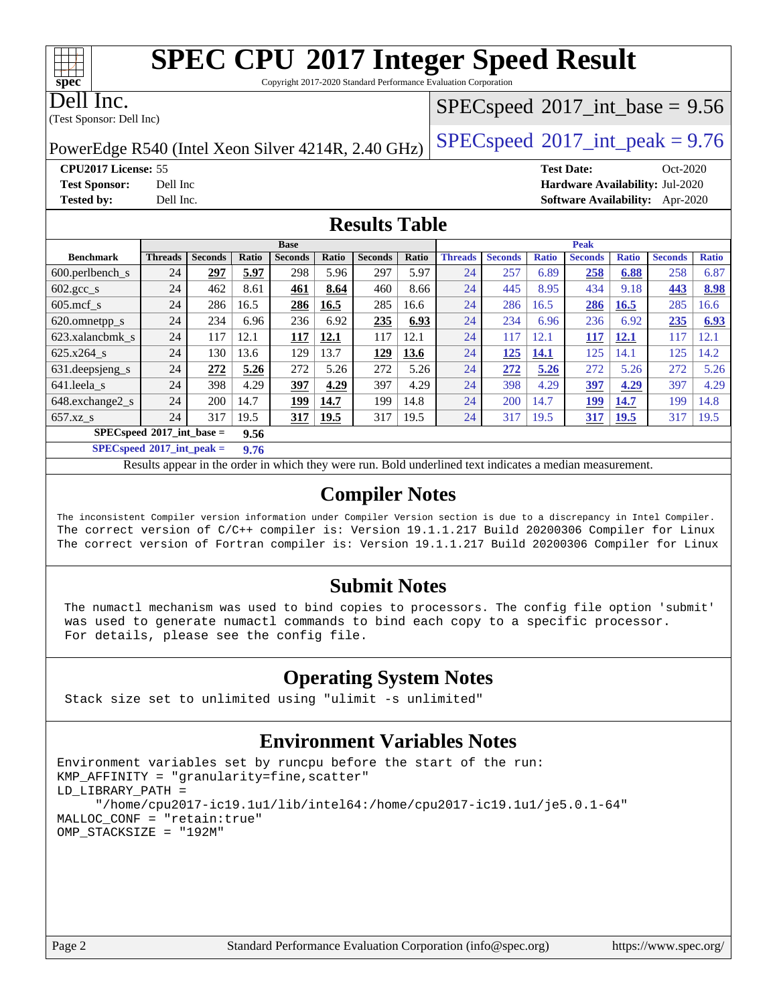Copyright 2017-2020 Standard Performance Evaluation Corporation

Dell Inc.

**[spec](http://www.spec.org/)**

(Test Sponsor: Dell Inc)

 $SPECspeed^{\circledcirc}2017\_int\_base = 9.56$  $SPECspeed^{\circledcirc}2017\_int\_base = 9.56$ 

PowerEdge R540 (Intel Xeon Silver 4214R, 2.40 GHz)  $\left|$  [SPECspeed](http://www.spec.org/auto/cpu2017/Docs/result-fields.html#SPECspeed2017intpeak)®[2017\\_int\\_peak = 9](http://www.spec.org/auto/cpu2017/Docs/result-fields.html#SPECspeed2017intpeak).76

**[CPU2017 License:](http://www.spec.org/auto/cpu2017/Docs/result-fields.html#CPU2017License)** 55 **[Test Date:](http://www.spec.org/auto/cpu2017/Docs/result-fields.html#TestDate)** Oct-2020 **[Test Sponsor:](http://www.spec.org/auto/cpu2017/Docs/result-fields.html#TestSponsor)** Dell Inc **[Hardware Availability:](http://www.spec.org/auto/cpu2017/Docs/result-fields.html#HardwareAvailability)** Jul-2020 **[Tested by:](http://www.spec.org/auto/cpu2017/Docs/result-fields.html#Testedby)** Dell Inc. **[Software Availability:](http://www.spec.org/auto/cpu2017/Docs/result-fields.html#SoftwareAvailability)** Apr-2020

### **[Results Table](http://www.spec.org/auto/cpu2017/Docs/result-fields.html#ResultsTable)**

|                                      | <b>Base</b>    |                |       |                |             | <b>Peak</b>    |       |                |                |                          |                |              |                |              |
|--------------------------------------|----------------|----------------|-------|----------------|-------------|----------------|-------|----------------|----------------|--------------------------|----------------|--------------|----------------|--------------|
| <b>Benchmark</b>                     | <b>Threads</b> | <b>Seconds</b> | Ratio | <b>Seconds</b> | Ratio       | <b>Seconds</b> | Ratio | <b>Threads</b> | <b>Seconds</b> | <b>Ratio</b>             | <b>Seconds</b> | <b>Ratio</b> | <b>Seconds</b> | <b>Ratio</b> |
| $600.$ perlbench_s                   | 24             | 297            | 5.97  | 298            | 5.96        | 297            | 5.97  | 24             | 257            | 6.89                     | 258            | 6.88         | 258            | 6.87         |
| $602 \text{.} \text{gcc}\text{_<}$ s | 24             | 462            | 8.61  | 461            | 8.64        | 460            | 8.66  | 24             | 445            | 8.95                     | 434            | 9.18         | 443            | 8.98         |
| $605$ .mcf s                         | 24             | 286            | 16.5  | 286            | 16.5        | 285            | 16.6  | 24             | 286            | 16.5                     | 286            | 16.5         | 285            | 16.6         |
| 620.omnetpp_s                        | 24             | 234            | 6.96  | 236            | 6.92        | 235            | 6.93  | 24             | 234            | 6.96                     | 236            | 6.92         | 235            | 6.93         |
| 623.xalancbmk s                      | 24             | 117            | 12.1  | 117            | 12.1        | 117            | 12.1  | 24             | 117            | $\left 2.1\right\rangle$ | <u> 117</u>    | <b>12.1</b>  | 117            | 12.1         |
| 625.x264 s                           | 24             | 130            | 13.6  | 129            | 13.7        | 129            | 13.6  | 24             | 125            | 14.1                     | 125            | 14.1         | 125            | 14.2         |
| 631.deepsjeng_s                      | 24             | 272            | 5.26  | 272            | 5.26        | 272            | 5.26  | 24             | 272            | 5.26                     | 272            | 5.26         | 272            | 5.26         |
| 641.leela s                          | 24             | 398            | 4.29  | 397            | 4.29        | 397            | 4.29  | 24             | 398            | 4.29                     | 397            | 4.29         | 397            | 4.29         |
| 648.exchange2 s                      | 24             | 200            | 14.7  | 199            | 14.7        | 199            | 14.8  | 24             | 200            | 14.7                     | 199            | 14.7         | 199            | 14.8         |
| $657.xz$ s                           | 24             | 317            | 19.5  | 317            | <u>19.5</u> | 317            | 19.5  | 24             | 317            | 19.5                     | 317            | <b>19.5</b>  | 317            | 19.5         |
| $SPECspeed*2017$ int base =<br>9.56  |                |                |       |                |             |                |       |                |                |                          |                |              |                |              |

**[SPECspeed](http://www.spec.org/auto/cpu2017/Docs/result-fields.html#SPECspeed2017intpeak)[2017\\_int\\_peak =](http://www.spec.org/auto/cpu2017/Docs/result-fields.html#SPECspeed2017intpeak) 9.76**

Results appear in the [order in which they were run.](http://www.spec.org/auto/cpu2017/Docs/result-fields.html#RunOrder) Bold underlined text [indicates a median measurement](http://www.spec.org/auto/cpu2017/Docs/result-fields.html#Median).

### **[Compiler Notes](http://www.spec.org/auto/cpu2017/Docs/result-fields.html#CompilerNotes)**

The inconsistent Compiler version information under Compiler Version section is due to a discrepancy in Intel Compiler. The correct version of C/C++ compiler is: Version 19.1.1.217 Build 20200306 Compiler for Linux The correct version of Fortran compiler is: Version 19.1.1.217 Build 20200306 Compiler for Linux

### **[Submit Notes](http://www.spec.org/auto/cpu2017/Docs/result-fields.html#SubmitNotes)**

 The numactl mechanism was used to bind copies to processors. The config file option 'submit' was used to generate numactl commands to bind each copy to a specific processor. For details, please see the config file.

### **[Operating System Notes](http://www.spec.org/auto/cpu2017/Docs/result-fields.html#OperatingSystemNotes)**

Stack size set to unlimited using "ulimit -s unlimited"

### **[Environment Variables Notes](http://www.spec.org/auto/cpu2017/Docs/result-fields.html#EnvironmentVariablesNotes)**

```
Environment variables set by runcpu before the start of the run:
KMP_AFFINITY = "granularity=fine,scatter"
LD_LIBRARY_PATH =
      "/home/cpu2017-ic19.1u1/lib/intel64:/home/cpu2017-ic19.1u1/je5.0.1-64"
MALLOC_CONF = "retain:true"
OMP_STACKSIZE = "192M"
```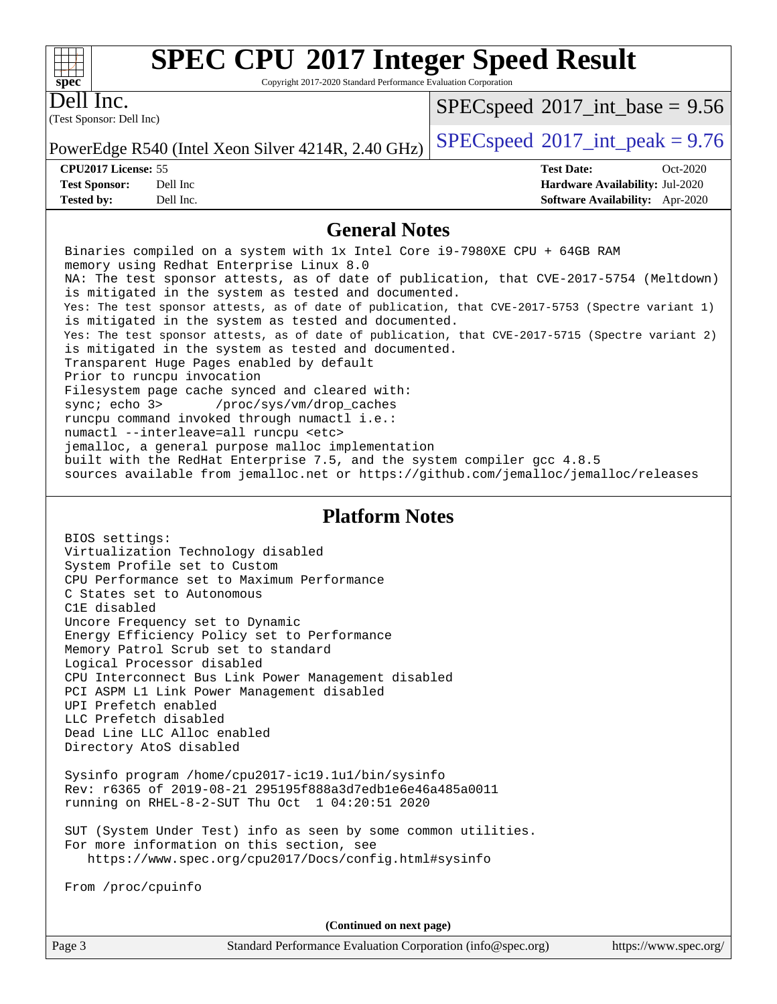Copyright 2017-2020 Standard Performance Evaluation Corporation

Dell Inc.

**[spec](http://www.spec.org/)**

 $+\ +$ 

(Test Sponsor: Dell Inc)

 $SPECspeed^{\circledcirc}2017\_int\_base = 9.56$  $SPECspeed^{\circledcirc}2017\_int\_base = 9.56$ 

**[Tested by:](http://www.spec.org/auto/cpu2017/Docs/result-fields.html#Testedby)** Dell Inc. **[Software Availability:](http://www.spec.org/auto/cpu2017/Docs/result-fields.html#SoftwareAvailability)** Apr-2020

PowerEdge R540 (Intel Xeon Silver 4214R, 2.40 GHz)  $\left|$  [SPECspeed](http://www.spec.org/auto/cpu2017/Docs/result-fields.html#SPECspeed2017intpeak)®[2017\\_int\\_peak = 9](http://www.spec.org/auto/cpu2017/Docs/result-fields.html#SPECspeed2017intpeak).76

**[CPU2017 License:](http://www.spec.org/auto/cpu2017/Docs/result-fields.html#CPU2017License)** 55 **[Test Date:](http://www.spec.org/auto/cpu2017/Docs/result-fields.html#TestDate)** Oct-2020 **[Test Sponsor:](http://www.spec.org/auto/cpu2017/Docs/result-fields.html#TestSponsor)** Dell Inc **[Hardware Availability:](http://www.spec.org/auto/cpu2017/Docs/result-fields.html#HardwareAvailability)** Jul-2020

### **[General Notes](http://www.spec.org/auto/cpu2017/Docs/result-fields.html#GeneralNotes)**

 Binaries compiled on a system with 1x Intel Core i9-7980XE CPU + 64GB RAM memory using Redhat Enterprise Linux 8.0 NA: The test sponsor attests, as of date of publication, that CVE-2017-5754 (Meltdown) is mitigated in the system as tested and documented. Yes: The test sponsor attests, as of date of publication, that CVE-2017-5753 (Spectre variant 1) is mitigated in the system as tested and documented. Yes: The test sponsor attests, as of date of publication, that CVE-2017-5715 (Spectre variant 2) is mitigated in the system as tested and documented. Transparent Huge Pages enabled by default Prior to runcpu invocation Filesystem page cache synced and cleared with: sync; echo 3> /proc/sys/vm/drop\_caches runcpu command invoked through numactl i.e.: numactl --interleave=all runcpu <etc> jemalloc, a general purpose malloc implementation built with the RedHat Enterprise 7.5, and the system compiler gcc 4.8.5 sources available from jemalloc.net or<https://github.com/jemalloc/jemalloc/releases> **[Platform Notes](http://www.spec.org/auto/cpu2017/Docs/result-fields.html#PlatformNotes)**

 BIOS settings: Virtualization Technology disabled System Profile set to Custom CPU Performance set to Maximum Performance C States set to Autonomous C1E disabled Uncore Frequency set to Dynamic Energy Efficiency Policy set to Performance Memory Patrol Scrub set to standard Logical Processor disabled CPU Interconnect Bus Link Power Management disabled PCI ASPM L1 Link Power Management disabled UPI Prefetch enabled LLC Prefetch disabled Dead Line LLC Alloc enabled Directory AtoS disabled

 Sysinfo program /home/cpu2017-ic19.1u1/bin/sysinfo Rev: r6365 of 2019-08-21 295195f888a3d7edb1e6e46a485a0011 running on RHEL-8-2-SUT Thu Oct 1 04:20:51 2020

 SUT (System Under Test) info as seen by some common utilities. For more information on this section, see <https://www.spec.org/cpu2017/Docs/config.html#sysinfo>

From /proc/cpuinfo

**(Continued on next page)**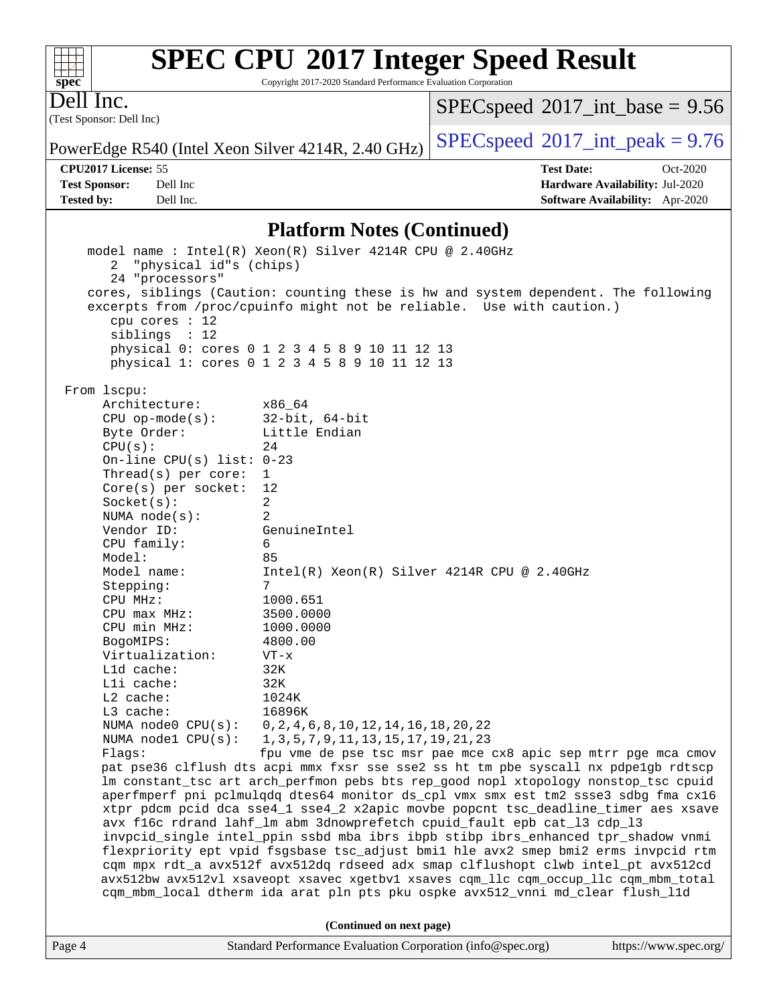Copyright 2017-2020 Standard Performance Evaluation Corporation

(Test Sponsor: Dell Inc) Dell Inc.

**[spec](http://www.spec.org/)**

 $+\!\!+\!\!$ 

 $SPECspeed^{\circ}2017\_int\_base = 9.56$  $SPECspeed^{\circ}2017\_int\_base = 9.56$ 

PowerEdge R540 (Intel Xeon Silver 4214R, 2.40 GHz)  $\left|$  [SPECspeed](http://www.spec.org/auto/cpu2017/Docs/result-fields.html#SPECspeed2017intpeak)®[2017\\_int\\_peak = 9](http://www.spec.org/auto/cpu2017/Docs/result-fields.html#SPECspeed2017intpeak).76

**[Tested by:](http://www.spec.org/auto/cpu2017/Docs/result-fields.html#Testedby)** Dell Inc. **[Software Availability:](http://www.spec.org/auto/cpu2017/Docs/result-fields.html#SoftwareAvailability)** Apr-2020

**[CPU2017 License:](http://www.spec.org/auto/cpu2017/Docs/result-fields.html#CPU2017License)** 55 **[Test Date:](http://www.spec.org/auto/cpu2017/Docs/result-fields.html#TestDate)** Oct-2020 **[Test Sponsor:](http://www.spec.org/auto/cpu2017/Docs/result-fields.html#TestSponsor)** Dell Inc **[Hardware Availability:](http://www.spec.org/auto/cpu2017/Docs/result-fields.html#HardwareAvailability)** Jul-2020

#### **[Platform Notes \(Continued\)](http://www.spec.org/auto/cpu2017/Docs/result-fields.html#PlatformNotes)**

Page 4 Standard Performance Evaluation Corporation [\(info@spec.org\)](mailto:info@spec.org) <https://www.spec.org/> model name : Intel(R) Xeon(R) Silver 4214R CPU @ 2.40GHz 2 "physical id"s (chips) 24 "processors" cores, siblings (Caution: counting these is hw and system dependent. The following excerpts from /proc/cpuinfo might not be reliable. Use with caution.) cpu cores : 12 siblings : 12 physical 0: cores 0 1 2 3 4 5 8 9 10 11 12 13 physical 1: cores 0 1 2 3 4 5 8 9 10 11 12 13 From lscpu: Architecture: x86\_64 CPU op-mode(s): 32-bit, 64-bit Byte Order: Little Endian  $CPU(s):$  24 On-line CPU(s) list: 0-23 Thread(s) per core: 1 Core(s) per socket: 12 Socket(s): 2 NUMA node(s): 2 Vendor ID: GenuineIntel CPU family: 6 Model: 85 Model name: Intel(R) Xeon(R) Silver 4214R CPU @ 2.40GHz Stepping: 7 CPU MHz: 1000.651 CPU max MHz: 3500.0000 CPU min MHz: 1000.0000 BogoMIPS: 4800.00 Virtualization: VT-x L1d cache: 32K L1i cache: 32K L2 cache: 1024K L3 cache: 16896K NUMA node0 CPU(s): 0,2,4,6,8,10,12,14,16,18,20,22 NUMA node1 CPU(s): 1,3,5,7,9,11,13,15,17,19,21,23 Flags: fpu vme de pse tsc msr pae mce cx8 apic sep mtrr pge mca cmov pat pse36 clflush dts acpi mmx fxsr sse sse2 ss ht tm pbe syscall nx pdpe1gb rdtscp lm constant\_tsc art arch\_perfmon pebs bts rep\_good nopl xtopology nonstop\_tsc cpuid aperfmperf pni pclmulqdq dtes64 monitor ds\_cpl vmx smx est tm2 ssse3 sdbg fma cx16 xtpr pdcm pcid dca sse4\_1 sse4\_2 x2apic movbe popcnt tsc\_deadline\_timer aes xsave avx f16c rdrand lahf\_lm abm 3dnowprefetch cpuid\_fault epb cat\_l3 cdp\_l3 invpcid\_single intel\_ppin ssbd mba ibrs ibpb stibp ibrs\_enhanced tpr\_shadow vnmi flexpriority ept vpid fsgsbase tsc\_adjust bmi1 hle avx2 smep bmi2 erms invpcid rtm cqm mpx rdt\_a avx512f avx512dq rdseed adx smap clflushopt clwb intel\_pt avx512cd avx512bw avx512vl xsaveopt xsavec xgetbv1 xsaves cqm\_llc cqm\_occup\_llc cqm\_mbm\_total cqm\_mbm\_local dtherm ida arat pln pts pku ospke avx512\_vnni md\_clear flush\_l1d **(Continued on next page)**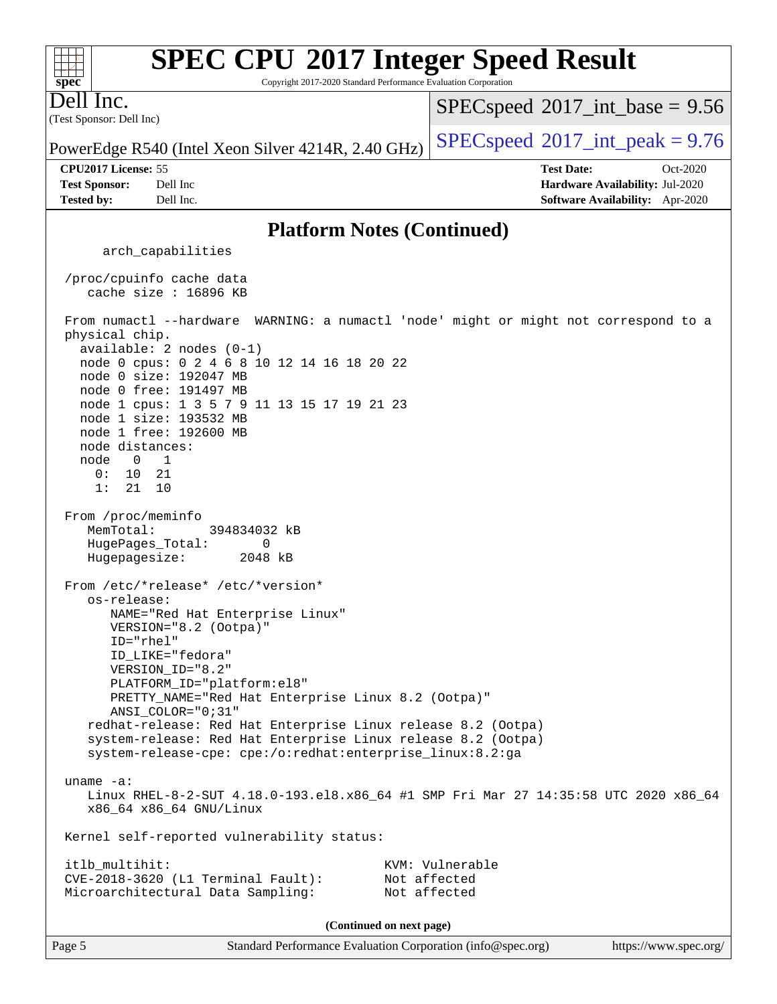#### **[spec](http://www.spec.org/) [SPEC CPU](http://www.spec.org/auto/cpu2017/Docs/result-fields.html#SPECCPU2017IntegerSpeedResult)[2017 Integer Speed Result](http://www.spec.org/auto/cpu2017/Docs/result-fields.html#SPECCPU2017IntegerSpeedResult)** Copyright 2017-2020 Standard Performance Evaluation Corporation (Test Sponsor: Dell Inc) Dell Inc. PowerEdge R540 (Intel Xeon Silver 4214R, 2.40 GHz)  $\left|$  [SPECspeed](http://www.spec.org/auto/cpu2017/Docs/result-fields.html#SPECspeed2017intpeak)®[2017\\_int\\_peak = 9](http://www.spec.org/auto/cpu2017/Docs/result-fields.html#SPECspeed2017intpeak).76  $SPECspeed^{\circ}2017\_int\_base = 9.56$  $SPECspeed^{\circ}2017\_int\_base = 9.56$ **[CPU2017 License:](http://www.spec.org/auto/cpu2017/Docs/result-fields.html#CPU2017License)** 55 **[Test Date:](http://www.spec.org/auto/cpu2017/Docs/result-fields.html#TestDate)** Oct-2020 **[Test Sponsor:](http://www.spec.org/auto/cpu2017/Docs/result-fields.html#TestSponsor)** Dell Inc **[Hardware Availability:](http://www.spec.org/auto/cpu2017/Docs/result-fields.html#HardwareAvailability)** Jul-2020 **[Tested by:](http://www.spec.org/auto/cpu2017/Docs/result-fields.html#Testedby)** Dell Inc. **[Software Availability:](http://www.spec.org/auto/cpu2017/Docs/result-fields.html#SoftwareAvailability)** Apr-2020 **[Platform Notes \(Continued\)](http://www.spec.org/auto/cpu2017/Docs/result-fields.html#PlatformNotes)** arch\_capabilities /proc/cpuinfo cache data cache size : 16896 KB From numactl --hardware WARNING: a numactl 'node' might or might not correspond to a physical chip. available: 2 nodes (0-1) node 0 cpus: 0 2 4 6 8 10 12 14 16 18 20 22 node 0 size: 192047 MB node 0 free: 191497 MB node 1 cpus: 1 3 5 7 9 11 13 15 17 19 21 23 node 1 size: 193532 MB node 1 free: 192600 MB node distances: node 0 1 0: 10 21 1: 21 10 From /proc/meminfo MemTotal: 394834032 kB HugePages\_Total: 0 Hugepagesize: 2048 kB From /etc/\*release\* /etc/\*version\* os-release: NAME="Red Hat Enterprise Linux" VERSION="8.2 (Ootpa)" ID="rhel" ID\_LIKE="fedora" VERSION\_ID="8.2" PLATFORM\_ID="platform:el8" PRETTY\_NAME="Red Hat Enterprise Linux 8.2 (Ootpa)" ANSI\_COLOR="0;31" redhat-release: Red Hat Enterprise Linux release 8.2 (Ootpa) system-release: Red Hat Enterprise Linux release 8.2 (Ootpa) system-release-cpe: cpe:/o:redhat:enterprise\_linux:8.2:ga uname -a: Linux RHEL-8-2-SUT 4.18.0-193.el8.x86\_64 #1 SMP Fri Mar 27 14:35:58 UTC 2020 x86\_64 x86\_64 x86\_64 GNU/Linux Kernel self-reported vulnerability status: itlb\_multihit: KVM: Vulnerable CVE-2018-3620 (L1 Terminal Fault): Not affected Microarchitectural Data Sampling: Not affected **(Continued on next page)**

 $+\ +$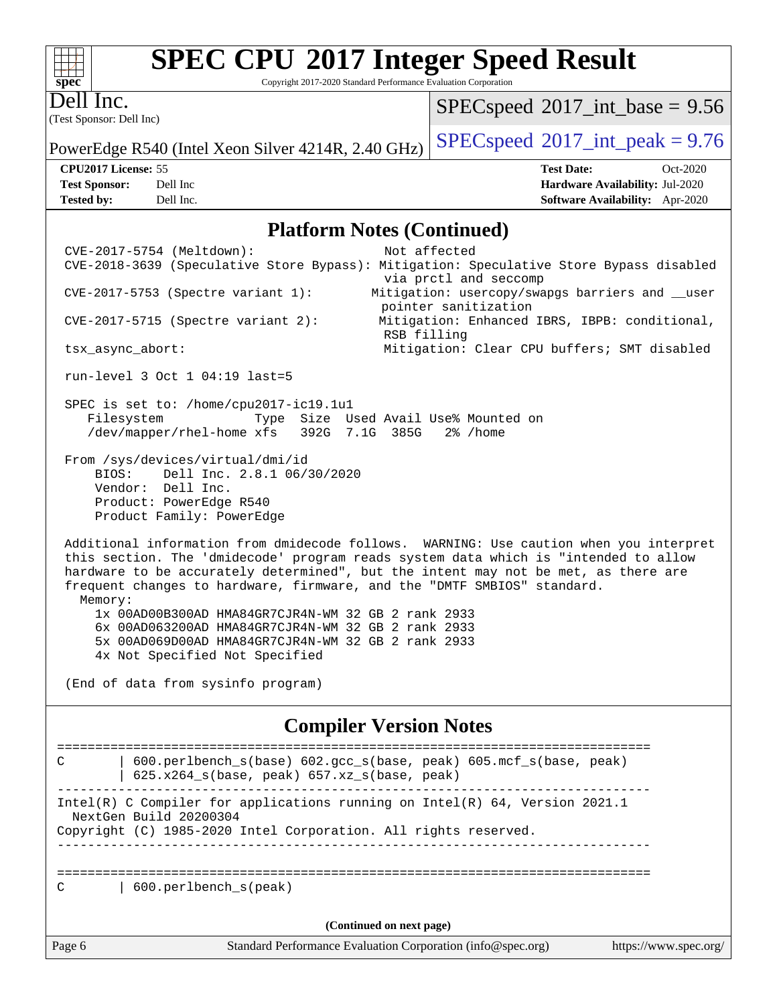Copyright 2017-2020 Standard Performance Evaluation Corporation

Dell Inc.

**[spec](http://www.spec.org/)**

(Test Sponsor: Dell Inc)

 $SPEC speed$ <sup>®</sup> $2017$ \_int\_base = 9.56

PowerEdge R540 (Intel Xeon Silver 4214R, 2.40 GHz)  $\left|$  [SPECspeed](http://www.spec.org/auto/cpu2017/Docs/result-fields.html#SPECspeed2017intpeak)®[2017\\_int\\_peak = 9](http://www.spec.org/auto/cpu2017/Docs/result-fields.html#SPECspeed2017intpeak).76

**[CPU2017 License:](http://www.spec.org/auto/cpu2017/Docs/result-fields.html#CPU2017License)** 55 **[Test Date:](http://www.spec.org/auto/cpu2017/Docs/result-fields.html#TestDate)** Oct-2020 **[Test Sponsor:](http://www.spec.org/auto/cpu2017/Docs/result-fields.html#TestSponsor)** Dell Inc **[Hardware Availability:](http://www.spec.org/auto/cpu2017/Docs/result-fields.html#HardwareAvailability)** Jul-2020 **[Tested by:](http://www.spec.org/auto/cpu2017/Docs/result-fields.html#Testedby)** Dell Inc. **[Software Availability:](http://www.spec.org/auto/cpu2017/Docs/result-fields.html#SoftwareAvailability)** Apr-2020

#### **[Platform Notes \(Continued\)](http://www.spec.org/auto/cpu2017/Docs/result-fields.html#PlatformNotes)**

| CVE-2017-5754 (Meltdown):<br>Not affected                                                                                                                                                                                                                                                                                                                 |  |  |  |  |  |  |  |  |
|-----------------------------------------------------------------------------------------------------------------------------------------------------------------------------------------------------------------------------------------------------------------------------------------------------------------------------------------------------------|--|--|--|--|--|--|--|--|
| CVE-2018-3639 (Speculative Store Bypass): Mitigation: Speculative Store Bypass disabled                                                                                                                                                                                                                                                                   |  |  |  |  |  |  |  |  |
| via prctl and seccomp                                                                                                                                                                                                                                                                                                                                     |  |  |  |  |  |  |  |  |
| $CVE-2017-5753$ (Spectre variant 1):<br>Mitigation: usercopy/swapgs barriers and __user<br>pointer sanitization                                                                                                                                                                                                                                           |  |  |  |  |  |  |  |  |
| Mitigation: Enhanced IBRS, IBPB: conditional,<br>CVE-2017-5715 (Spectre variant 2):<br>RSB filling                                                                                                                                                                                                                                                        |  |  |  |  |  |  |  |  |
| Mitigation: Clear CPU buffers; SMT disabled<br>tsx_async_abort:                                                                                                                                                                                                                                                                                           |  |  |  |  |  |  |  |  |
| run-level 3 Oct 1 04:19 last=5                                                                                                                                                                                                                                                                                                                            |  |  |  |  |  |  |  |  |
| SPEC is set to: /home/cpu2017-ic19.1u1<br>Type Size Used Avail Use% Mounted on<br>Filesystem<br>/dev/mapper/rhel-home xfs 392G 7.1G 385G 2% /home                                                                                                                                                                                                         |  |  |  |  |  |  |  |  |
| From /sys/devices/virtual/dmi/id                                                                                                                                                                                                                                                                                                                          |  |  |  |  |  |  |  |  |
| Dell Inc. 2.8.1 06/30/2020<br>BIOS:                                                                                                                                                                                                                                                                                                                       |  |  |  |  |  |  |  |  |
| Vendor: Dell Inc.                                                                                                                                                                                                                                                                                                                                         |  |  |  |  |  |  |  |  |
| Product: PowerEdge R540                                                                                                                                                                                                                                                                                                                                   |  |  |  |  |  |  |  |  |
| Product Family: PowerEdge                                                                                                                                                                                                                                                                                                                                 |  |  |  |  |  |  |  |  |
| Additional information from dmidecode follows. WARNING: Use caution when you interpret<br>this section. The 'dmidecode' program reads system data which is "intended to allow<br>hardware to be accurately determined", but the intent may not be met, as there are<br>frequent changes to hardware, firmware, and the "DMTF SMBIOS" standard.<br>Memory: |  |  |  |  |  |  |  |  |
| 1x 00AD00B300AD HMA84GR7CJR4N-WM 32 GB 2 rank 2933                                                                                                                                                                                                                                                                                                        |  |  |  |  |  |  |  |  |
| 6x 00AD063200AD HMA84GR7CJR4N-WM 32 GB 2 rank 2933                                                                                                                                                                                                                                                                                                        |  |  |  |  |  |  |  |  |
| 5x 00AD069D00AD HMA84GR7CJR4N-WM 32 GB 2 rank 2933                                                                                                                                                                                                                                                                                                        |  |  |  |  |  |  |  |  |
| 4x Not Specified Not Specified                                                                                                                                                                                                                                                                                                                            |  |  |  |  |  |  |  |  |
| (End of data from sysinfo program)                                                                                                                                                                                                                                                                                                                        |  |  |  |  |  |  |  |  |
| <b>Compiler Version Notes</b>                                                                                                                                                                                                                                                                                                                             |  |  |  |  |  |  |  |  |
| =============================<br>600.perlbench_s(base) 602.gcc_s(base, peak) 605.mcf_s(base, peak)<br>C<br>625.x264_s(base, peak) 657.xz_s(base, peak)                                                                                                                                                                                                    |  |  |  |  |  |  |  |  |
| Intel(R) C Compiler for applications running on Intel(R) 64, Version 2021.1<br>NextGen Build 20200304                                                                                                                                                                                                                                                     |  |  |  |  |  |  |  |  |
| Copyright (C) 1985-2020 Intel Corporation. All rights reserved.                                                                                                                                                                                                                                                                                           |  |  |  |  |  |  |  |  |
|                                                                                                                                                                                                                                                                                                                                                           |  |  |  |  |  |  |  |  |
| 600.perlbench_s(peak)<br>С                                                                                                                                                                                                                                                                                                                                |  |  |  |  |  |  |  |  |
|                                                                                                                                                                                                                                                                                                                                                           |  |  |  |  |  |  |  |  |

**(Continued on next page)**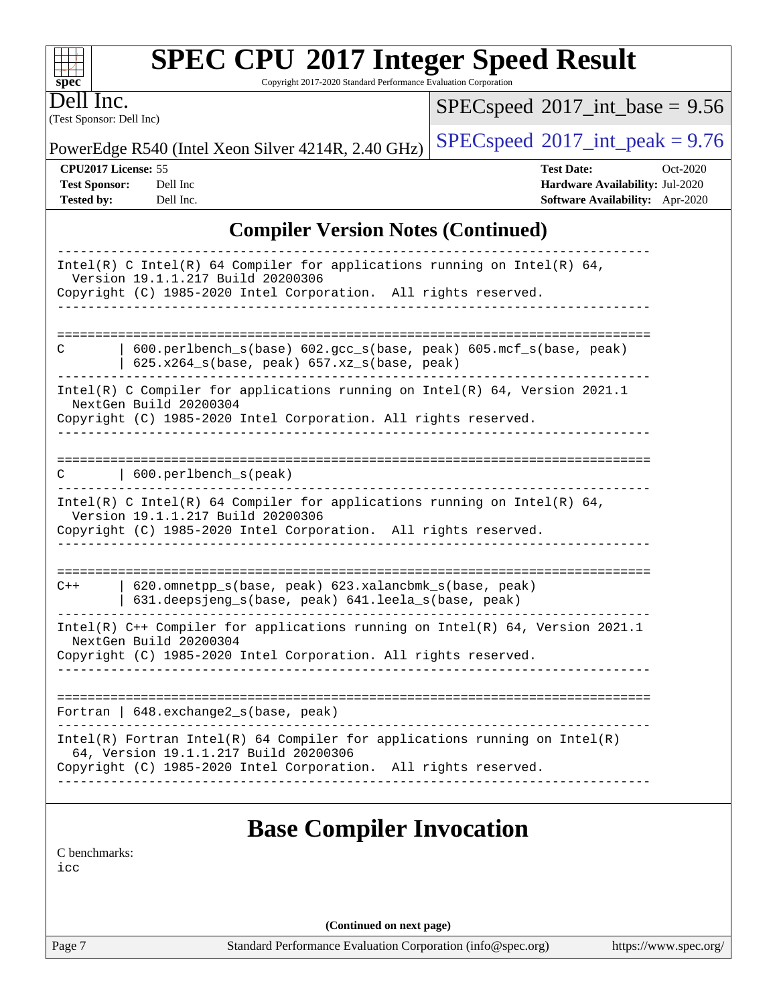Copyright 2017-2020 Standard Performance Evaluation Corporation

(Test Sponsor: Dell Inc) Dell Inc.

**[spec](http://www.spec.org/)**

 $SPEC speed$ <sup>®</sup> $2017$ \_int\_base = 9.56

PowerEdge R540 (Intel Xeon Silver 4214R, 2.40 GHz)  $\left|$  [SPECspeed](http://www.spec.org/auto/cpu2017/Docs/result-fields.html#SPECspeed2017intpeak)<sup>®</sup>[2017\\_int\\_peak = 9](http://www.spec.org/auto/cpu2017/Docs/result-fields.html#SPECspeed2017intpeak).76

**[CPU2017 License:](http://www.spec.org/auto/cpu2017/Docs/result-fields.html#CPU2017License)** 55 **[Test Date:](http://www.spec.org/auto/cpu2017/Docs/result-fields.html#TestDate)** Oct-2020 **[Test Sponsor:](http://www.spec.org/auto/cpu2017/Docs/result-fields.html#TestSponsor)** Dell Inc **[Hardware Availability:](http://www.spec.org/auto/cpu2017/Docs/result-fields.html#HardwareAvailability)** Jul-2020 **[Tested by:](http://www.spec.org/auto/cpu2017/Docs/result-fields.html#Testedby)** Dell Inc. **[Software Availability:](http://www.spec.org/auto/cpu2017/Docs/result-fields.html#SoftwareAvailability)** Apr-2020

### **[Compiler Version Notes \(Continued\)](http://www.spec.org/auto/cpu2017/Docs/result-fields.html#CompilerVersionNotes)**

| Intel(R) C Intel(R) 64 Compiler for applications running on Intel(R) 64,<br>Version 19.1.1.217 Build 20200306<br>Copyright (C) 1985-2020 Intel Corporation. All rights reserved.<br>_____________________ |
|-----------------------------------------------------------------------------------------------------------------------------------------------------------------------------------------------------------|
|                                                                                                                                                                                                           |
|                                                                                                                                                                                                           |
| 600.perlbench_s(base) 602.gcc_s(base, peak) 605.mcf_s(base, peak)<br>C<br>$625.x264_s(base, peak)$ 657.xz_s(base, peak)                                                                                   |
| Intel(R) C Compiler for applications running on $Intel(R) 64$ , Version 2021.1<br>NextGen Build 20200304                                                                                                  |
| Copyright (C) 1985-2020 Intel Corporation. All rights reserved.                                                                                                                                           |
|                                                                                                                                                                                                           |
| 600.perlbench_s(peak)<br>C                                                                                                                                                                                |
| Intel(R) C Intel(R) 64 Compiler for applications running on Intel(R) 64,                                                                                                                                  |
| Version 19.1.1.217 Build 20200306<br>Copyright (C) 1985-2020 Intel Corporation. All rights reserved.                                                                                                      |
|                                                                                                                                                                                                           |
|                                                                                                                                                                                                           |
| 620.omnetpp s(base, peak) 623.xalancbmk s(base, peak)<br>$C++$<br>631.deepsjeng_s(base, peak) 641.leela_s(base, peak)                                                                                     |
|                                                                                                                                                                                                           |
| Intel(R) $C++$ Compiler for applications running on Intel(R) 64, Version 2021.1<br>NextGen Build 20200304                                                                                                 |
| Copyright (C) 1985-2020 Intel Corporation. All rights reserved.                                                                                                                                           |
|                                                                                                                                                                                                           |
|                                                                                                                                                                                                           |
| Fortran   648. exchange2_s(base, peak)<br>-----------------------------                                                                                                                                   |
| $Intel(R)$ Fortran Intel(R) 64 Compiler for applications running on Intel(R)<br>64, Version 19.1.1.217 Build 20200306                                                                                     |
| Copyright (C) 1985-2020 Intel Corporation. All rights reserved.                                                                                                                                           |
|                                                                                                                                                                                                           |
|                                                                                                                                                                                                           |
| <b>Base Compiler Invocation</b>                                                                                                                                                                           |
| C benchmarks:                                                                                                                                                                                             |
| icc                                                                                                                                                                                                       |
|                                                                                                                                                                                                           |
|                                                                                                                                                                                                           |

**(Continued on next page)**

Page 7 Standard Performance Evaluation Corporation [\(info@spec.org\)](mailto:info@spec.org) <https://www.spec.org/>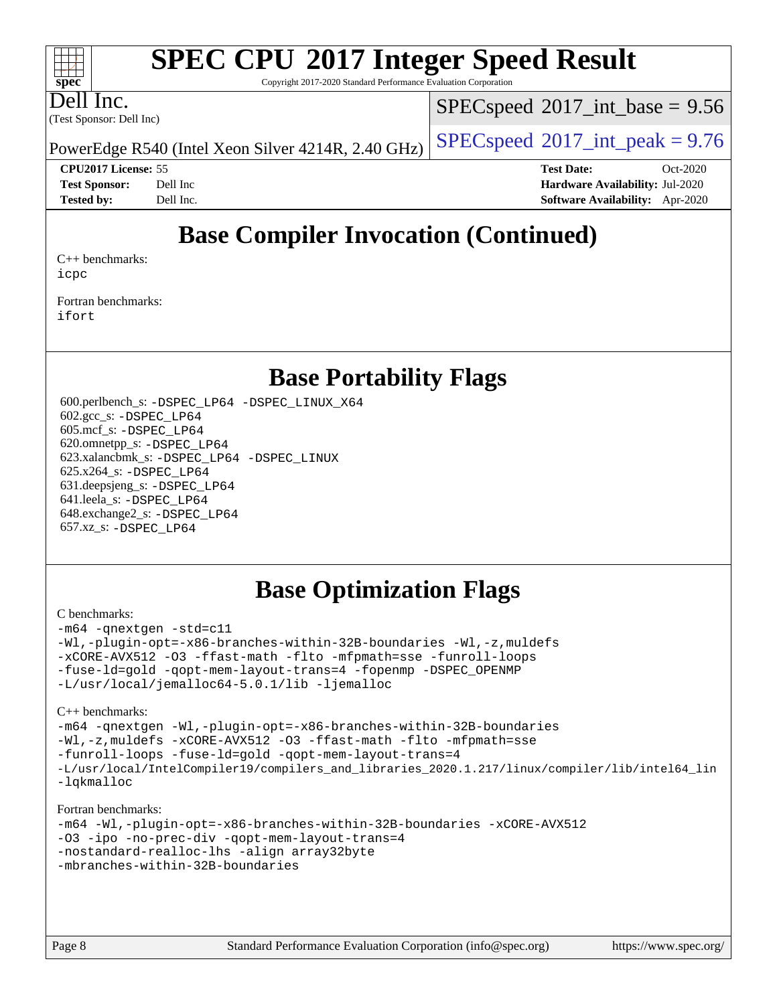Copyright 2017-2020 Standard Performance Evaluation Corporation

Dell Inc.

**[spec](http://www.spec.org/)**

 $\pm\pm\tau$ 

(Test Sponsor: Dell Inc)

 $SPECspeed^{\circ}2017\_int\_base = 9.56$  $SPECspeed^{\circ}2017\_int\_base = 9.56$ 

PowerEdge R540 (Intel Xeon Silver 4214R, 2.40 GHz)  $\left|$  [SPECspeed](http://www.spec.org/auto/cpu2017/Docs/result-fields.html#SPECspeed2017intpeak)®[2017\\_int\\_peak = 9](http://www.spec.org/auto/cpu2017/Docs/result-fields.html#SPECspeed2017intpeak).76

**[CPU2017 License:](http://www.spec.org/auto/cpu2017/Docs/result-fields.html#CPU2017License)** 55 **[Test Date:](http://www.spec.org/auto/cpu2017/Docs/result-fields.html#TestDate)** Oct-2020 **[Test Sponsor:](http://www.spec.org/auto/cpu2017/Docs/result-fields.html#TestSponsor)** Dell Inc **[Hardware Availability:](http://www.spec.org/auto/cpu2017/Docs/result-fields.html#HardwareAvailability)** Jul-2020 **[Tested by:](http://www.spec.org/auto/cpu2017/Docs/result-fields.html#Testedby)** Dell Inc. **[Software Availability:](http://www.spec.org/auto/cpu2017/Docs/result-fields.html#SoftwareAvailability)** Apr-2020

### **[Base Compiler Invocation \(Continued\)](http://www.spec.org/auto/cpu2017/Docs/result-fields.html#BaseCompilerInvocation)**

[C++ benchmarks:](http://www.spec.org/auto/cpu2017/Docs/result-fields.html#CXXbenchmarks) [icpc](http://www.spec.org/cpu2017/results/res2020q4/cpu2017-20201020-24221.flags.html#user_CXXbase_intel_icpc_c510b6838c7f56d33e37e94d029a35b4a7bccf4766a728ee175e80a419847e808290a9b78be685c44ab727ea267ec2f070ec5dc83b407c0218cded6866a35d07)

[Fortran benchmarks](http://www.spec.org/auto/cpu2017/Docs/result-fields.html#Fortranbenchmarks): [ifort](http://www.spec.org/cpu2017/results/res2020q4/cpu2017-20201020-24221.flags.html#user_FCbase_intel_ifort_8111460550e3ca792625aed983ce982f94888b8b503583aa7ba2b8303487b4d8a21a13e7191a45c5fd58ff318f48f9492884d4413fa793fd88dd292cad7027ca)

### **[Base Portability Flags](http://www.spec.org/auto/cpu2017/Docs/result-fields.html#BasePortabilityFlags)**

 600.perlbench\_s: [-DSPEC\\_LP64](http://www.spec.org/cpu2017/results/res2020q4/cpu2017-20201020-24221.flags.html#b600.perlbench_s_basePORTABILITY_DSPEC_LP64) [-DSPEC\\_LINUX\\_X64](http://www.spec.org/cpu2017/results/res2020q4/cpu2017-20201020-24221.flags.html#b600.perlbench_s_baseCPORTABILITY_DSPEC_LINUX_X64) 602.gcc\_s: [-DSPEC\\_LP64](http://www.spec.org/cpu2017/results/res2020q4/cpu2017-20201020-24221.flags.html#suite_basePORTABILITY602_gcc_s_DSPEC_LP64) 605.mcf\_s: [-DSPEC\\_LP64](http://www.spec.org/cpu2017/results/res2020q4/cpu2017-20201020-24221.flags.html#suite_basePORTABILITY605_mcf_s_DSPEC_LP64) 620.omnetpp\_s: [-DSPEC\\_LP64](http://www.spec.org/cpu2017/results/res2020q4/cpu2017-20201020-24221.flags.html#suite_basePORTABILITY620_omnetpp_s_DSPEC_LP64) 623.xalancbmk\_s: [-DSPEC\\_LP64](http://www.spec.org/cpu2017/results/res2020q4/cpu2017-20201020-24221.flags.html#suite_basePORTABILITY623_xalancbmk_s_DSPEC_LP64) [-DSPEC\\_LINUX](http://www.spec.org/cpu2017/results/res2020q4/cpu2017-20201020-24221.flags.html#b623.xalancbmk_s_baseCXXPORTABILITY_DSPEC_LINUX) 625.x264\_s: [-DSPEC\\_LP64](http://www.spec.org/cpu2017/results/res2020q4/cpu2017-20201020-24221.flags.html#suite_basePORTABILITY625_x264_s_DSPEC_LP64) 631.deepsjeng\_s: [-DSPEC\\_LP64](http://www.spec.org/cpu2017/results/res2020q4/cpu2017-20201020-24221.flags.html#suite_basePORTABILITY631_deepsjeng_s_DSPEC_LP64) 641.leela\_s: [-DSPEC\\_LP64](http://www.spec.org/cpu2017/results/res2020q4/cpu2017-20201020-24221.flags.html#suite_basePORTABILITY641_leela_s_DSPEC_LP64) 648.exchange2\_s: [-DSPEC\\_LP64](http://www.spec.org/cpu2017/results/res2020q4/cpu2017-20201020-24221.flags.html#suite_basePORTABILITY648_exchange2_s_DSPEC_LP64) 657.xz\_s: [-DSPEC\\_LP64](http://www.spec.org/cpu2017/results/res2020q4/cpu2017-20201020-24221.flags.html#suite_basePORTABILITY657_xz_s_DSPEC_LP64)

### **[Base Optimization Flags](http://www.spec.org/auto/cpu2017/Docs/result-fields.html#BaseOptimizationFlags)**

#### [C benchmarks](http://www.spec.org/auto/cpu2017/Docs/result-fields.html#Cbenchmarks):

[-m64](http://www.spec.org/cpu2017/results/res2020q4/cpu2017-20201020-24221.flags.html#user_CCbase_m64-icc) [-qnextgen](http://www.spec.org/cpu2017/results/res2020q4/cpu2017-20201020-24221.flags.html#user_CCbase_f-qnextgen) [-std=c11](http://www.spec.org/cpu2017/results/res2020q4/cpu2017-20201020-24221.flags.html#user_CCbase_std-icc-std_0e1c27790398a4642dfca32ffe6c27b5796f9c2d2676156f2e42c9c44eaad0c049b1cdb667a270c34d979996257aeb8fc440bfb01818dbc9357bd9d174cb8524) [-Wl,-plugin-opt=-x86-branches-within-32B-boundaries](http://www.spec.org/cpu2017/results/res2020q4/cpu2017-20201020-24221.flags.html#user_CCbase_f-x86-branches-within-32B-boundaries_0098b4e4317ae60947b7b728078a624952a08ac37a3c797dfb4ffeb399e0c61a9dd0f2f44ce917e9361fb9076ccb15e7824594512dd315205382d84209e912f3) [-Wl,-z,muldefs](http://www.spec.org/cpu2017/results/res2020q4/cpu2017-20201020-24221.flags.html#user_CCbase_link_force_multiple1_b4cbdb97b34bdee9ceefcfe54f4c8ea74255f0b02a4b23e853cdb0e18eb4525ac79b5a88067c842dd0ee6996c24547a27a4b99331201badda8798ef8a743f577) [-xCORE-AVX512](http://www.spec.org/cpu2017/results/res2020q4/cpu2017-20201020-24221.flags.html#user_CCbase_f-xCORE-AVX512) [-O3](http://www.spec.org/cpu2017/results/res2020q4/cpu2017-20201020-24221.flags.html#user_CCbase_f-O3) [-ffast-math](http://www.spec.org/cpu2017/results/res2020q4/cpu2017-20201020-24221.flags.html#user_CCbase_f-ffast-math) [-flto](http://www.spec.org/cpu2017/results/res2020q4/cpu2017-20201020-24221.flags.html#user_CCbase_f-flto) [-mfpmath=sse](http://www.spec.org/cpu2017/results/res2020q4/cpu2017-20201020-24221.flags.html#user_CCbase_f-mfpmath_70eb8fac26bde974f8ab713bc9086c5621c0b8d2f6c86f38af0bd7062540daf19db5f3a066d8c6684be05d84c9b6322eb3b5be6619d967835195b93d6c02afa1) [-funroll-loops](http://www.spec.org/cpu2017/results/res2020q4/cpu2017-20201020-24221.flags.html#user_CCbase_f-funroll-loops) [-fuse-ld=gold](http://www.spec.org/cpu2017/results/res2020q4/cpu2017-20201020-24221.flags.html#user_CCbase_f-fuse-ld_920b3586e2b8c6e0748b9c84fa9b744736ba725a32cab14ad8f3d4ad28eecb2f59d1144823d2e17006539a88734fe1fc08fc3035f7676166309105a78aaabc32) [-qopt-mem-layout-trans=4](http://www.spec.org/cpu2017/results/res2020q4/cpu2017-20201020-24221.flags.html#user_CCbase_f-qopt-mem-layout-trans_fa39e755916c150a61361b7846f310bcdf6f04e385ef281cadf3647acec3f0ae266d1a1d22d972a7087a248fd4e6ca390a3634700869573d231a252c784941a8) [-fopenmp](http://www.spec.org/cpu2017/results/res2020q4/cpu2017-20201020-24221.flags.html#user_CCbase_fopenmp_5aa2e47ce4f2ef030ba5d12d5a7a9c4e57167333d78243fcadb80b48d5abb78ff19333f8478e0b2a41e63049eb285965c145ccab7b93db7d0c4d59e4dc6f5591) [-DSPEC\\_OPENMP](http://www.spec.org/cpu2017/results/res2020q4/cpu2017-20201020-24221.flags.html#suite_CCbase_DSPEC_OPENMP) [-L/usr/local/jemalloc64-5.0.1/lib](http://www.spec.org/cpu2017/results/res2020q4/cpu2017-20201020-24221.flags.html#user_CCbase_jemalloc_link_path64_1_cc289568b1a6c0fd3b62c91b824c27fcb5af5e8098e6ad028160d21144ef1b8aef3170d2acf0bee98a8da324cfe4f67d0a3d0c4cc4673d993d694dc2a0df248b) [-ljemalloc](http://www.spec.org/cpu2017/results/res2020q4/cpu2017-20201020-24221.flags.html#user_CCbase_jemalloc_link_lib_d1249b907c500fa1c0672f44f562e3d0f79738ae9e3c4a9c376d49f265a04b9c99b167ecedbf6711b3085be911c67ff61f150a17b3472be731631ba4d0471706)

#### [C++ benchmarks:](http://www.spec.org/auto/cpu2017/Docs/result-fields.html#CXXbenchmarks)

```
-m64 -qnextgen -Wl,-plugin-opt=-x86-branches-within-32B-boundaries
-Wl,-z,muldefs -xCORE-AVX512 -O3 -ffast-math -flto -mfpmath=sse
-funroll-loops -fuse-ld=gold -qopt-mem-layout-trans=4
-L/usr/local/IntelCompiler19/compilers_and_libraries_2020.1.217/linux/compiler/lib/intel64_lin
-lqkmalloc
```
#### [Fortran benchmarks:](http://www.spec.org/auto/cpu2017/Docs/result-fields.html#Fortranbenchmarks)

```
-m64 -Wl,-plugin-opt=-x86-branches-within-32B-boundaries -xCORE-AVX512
-O3 -ipo -no-prec-div -qopt-mem-layout-trans=4
-nostandard-realloc-lhs -align array32byte
-mbranches-within-32B-boundaries
```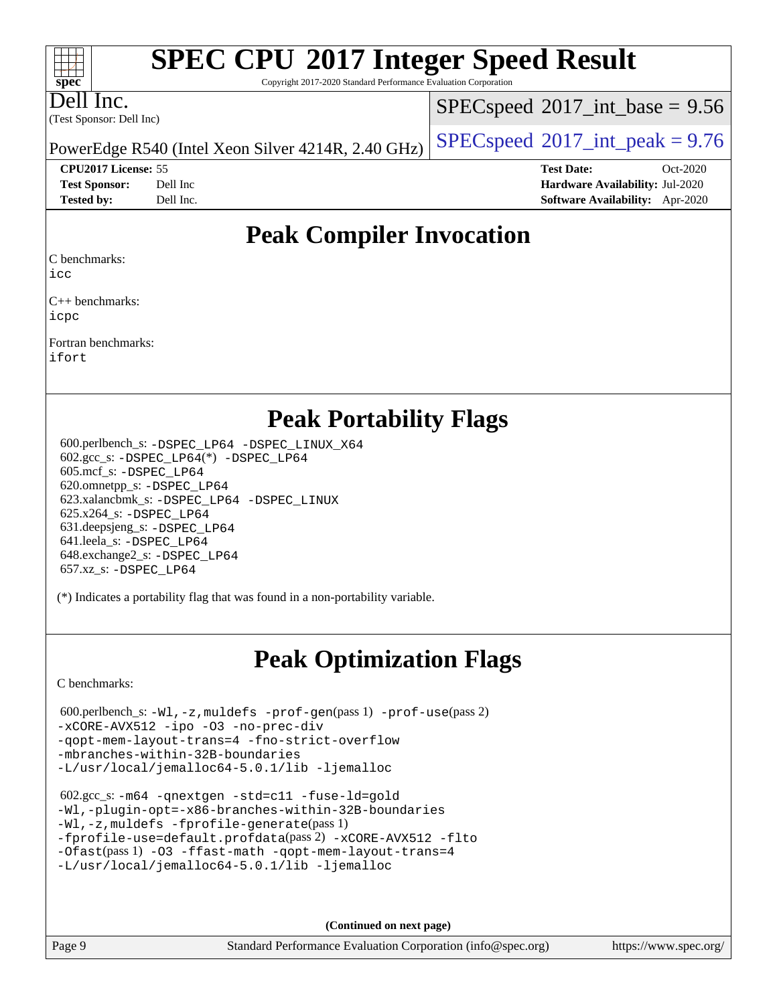Copyright 2017-2020 Standard Performance Evaluation Corporation

Dell Inc.

**[spec](http://www.spec.org/)**

 $+\ +$ 

(Test Sponsor: Dell Inc)

 $SPECspeed^{\circ}2017\_int\_base = 9.56$  $SPECspeed^{\circ}2017\_int\_base = 9.56$ 

**[CPU2017 License:](http://www.spec.org/auto/cpu2017/Docs/result-fields.html#CPU2017License)** 55 **[Test Date:](http://www.spec.org/auto/cpu2017/Docs/result-fields.html#TestDate)** Oct-2020

PowerEdge R540 (Intel Xeon Silver 4214R, 2.40 GHz)  $\left|$  [SPECspeed](http://www.spec.org/auto/cpu2017/Docs/result-fields.html#SPECspeed2017intpeak)®[2017\\_int\\_peak = 9](http://www.spec.org/auto/cpu2017/Docs/result-fields.html#SPECspeed2017intpeak).76

**[Test Sponsor:](http://www.spec.org/auto/cpu2017/Docs/result-fields.html#TestSponsor)** Dell Inc **[Hardware Availability:](http://www.spec.org/auto/cpu2017/Docs/result-fields.html#HardwareAvailability)** Jul-2020 **[Tested by:](http://www.spec.org/auto/cpu2017/Docs/result-fields.html#Testedby)** Dell Inc. **[Software Availability:](http://www.spec.org/auto/cpu2017/Docs/result-fields.html#SoftwareAvailability)** Apr-2020

### **[Peak Compiler Invocation](http://www.spec.org/auto/cpu2017/Docs/result-fields.html#PeakCompilerInvocation)**

[C benchmarks](http://www.spec.org/auto/cpu2017/Docs/result-fields.html#Cbenchmarks):

[icc](http://www.spec.org/cpu2017/results/res2020q4/cpu2017-20201020-24221.flags.html#user_CCpeak_intel_icc_66fc1ee009f7361af1fbd72ca7dcefbb700085f36577c54f309893dd4ec40d12360134090235512931783d35fd58c0460139e722d5067c5574d8eaf2b3e37e92)

[C++ benchmarks](http://www.spec.org/auto/cpu2017/Docs/result-fields.html#CXXbenchmarks): [icpc](http://www.spec.org/cpu2017/results/res2020q4/cpu2017-20201020-24221.flags.html#user_CXXpeak_intel_icpc_c510b6838c7f56d33e37e94d029a35b4a7bccf4766a728ee175e80a419847e808290a9b78be685c44ab727ea267ec2f070ec5dc83b407c0218cded6866a35d07)

[Fortran benchmarks:](http://www.spec.org/auto/cpu2017/Docs/result-fields.html#Fortranbenchmarks) [ifort](http://www.spec.org/cpu2017/results/res2020q4/cpu2017-20201020-24221.flags.html#user_FCpeak_intel_ifort_8111460550e3ca792625aed983ce982f94888b8b503583aa7ba2b8303487b4d8a21a13e7191a45c5fd58ff318f48f9492884d4413fa793fd88dd292cad7027ca)

### **[Peak Portability Flags](http://www.spec.org/auto/cpu2017/Docs/result-fields.html#PeakPortabilityFlags)**

 600.perlbench\_s: [-DSPEC\\_LP64](http://www.spec.org/cpu2017/results/res2020q4/cpu2017-20201020-24221.flags.html#b600.perlbench_s_peakPORTABILITY_DSPEC_LP64) [-DSPEC\\_LINUX\\_X64](http://www.spec.org/cpu2017/results/res2020q4/cpu2017-20201020-24221.flags.html#b600.perlbench_s_peakCPORTABILITY_DSPEC_LINUX_X64) 602.gcc\_s: [-DSPEC\\_LP64](http://www.spec.org/cpu2017/results/res2020q4/cpu2017-20201020-24221.flags.html#suite_peakCCLD602_gcc_s_DSPEC_LP64)(\*) [-DSPEC\\_LP64](http://www.spec.org/cpu2017/results/res2020q4/cpu2017-20201020-24221.flags.html#suite_peakPORTABILITY602_gcc_s_DSPEC_LP64) 605.mcf\_s: [-DSPEC\\_LP64](http://www.spec.org/cpu2017/results/res2020q4/cpu2017-20201020-24221.flags.html#suite_peakPORTABILITY605_mcf_s_DSPEC_LP64) 620.omnetpp\_s: [-DSPEC\\_LP64](http://www.spec.org/cpu2017/results/res2020q4/cpu2017-20201020-24221.flags.html#suite_peakPORTABILITY620_omnetpp_s_DSPEC_LP64) 623.xalancbmk\_s: [-DSPEC\\_LP64](http://www.spec.org/cpu2017/results/res2020q4/cpu2017-20201020-24221.flags.html#suite_peakPORTABILITY623_xalancbmk_s_DSPEC_LP64) [-DSPEC\\_LINUX](http://www.spec.org/cpu2017/results/res2020q4/cpu2017-20201020-24221.flags.html#b623.xalancbmk_s_peakCXXPORTABILITY_DSPEC_LINUX) 625.x264\_s: [-DSPEC\\_LP64](http://www.spec.org/cpu2017/results/res2020q4/cpu2017-20201020-24221.flags.html#suite_peakPORTABILITY625_x264_s_DSPEC_LP64) 631.deepsjeng\_s: [-DSPEC\\_LP64](http://www.spec.org/cpu2017/results/res2020q4/cpu2017-20201020-24221.flags.html#suite_peakPORTABILITY631_deepsjeng_s_DSPEC_LP64) 641.leela\_s: [-DSPEC\\_LP64](http://www.spec.org/cpu2017/results/res2020q4/cpu2017-20201020-24221.flags.html#suite_peakPORTABILITY641_leela_s_DSPEC_LP64) 648.exchange2\_s: [-DSPEC\\_LP64](http://www.spec.org/cpu2017/results/res2020q4/cpu2017-20201020-24221.flags.html#suite_peakPORTABILITY648_exchange2_s_DSPEC_LP64) 657.xz\_s: [-DSPEC\\_LP64](http://www.spec.org/cpu2017/results/res2020q4/cpu2017-20201020-24221.flags.html#suite_peakPORTABILITY657_xz_s_DSPEC_LP64)

(\*) Indicates a portability flag that was found in a non-portability variable.

## **[Peak Optimization Flags](http://www.spec.org/auto/cpu2017/Docs/result-fields.html#PeakOptimizationFlags)**

[C benchmarks](http://www.spec.org/auto/cpu2017/Docs/result-fields.html#Cbenchmarks):

```
 600.perlbench_s: -Wl,-z,muldefs -prof-gen(pass 1) -prof-use(pass 2)
-xCORE-AVX512 -ipo -O3 -no-prec-div
-qopt-mem-layout-trans=4 -fno-strict-overflow
-mbranches-within-32B-boundaries
-L/usr/local/jemalloc64-5.0.1/lib -ljemalloc
```

```
 602.gcc_s: -m64 -qnextgen -std=c11 -fuse-ld=gold
-Wl,-plugin-opt=-x86-branches-within-32B-boundaries
-Wl,-z,muldefs -fprofile-generate(pass 1)
-fprofile-use=default.profdata(pass 2) -xCORE-AVX512 -flto
-Ofast(pass 1) -O3 -ffast-math -qopt-mem-layout-trans=4
-L/usr/local/jemalloc64-5.0.1/lib -ljemalloc
```
**(Continued on next page)**